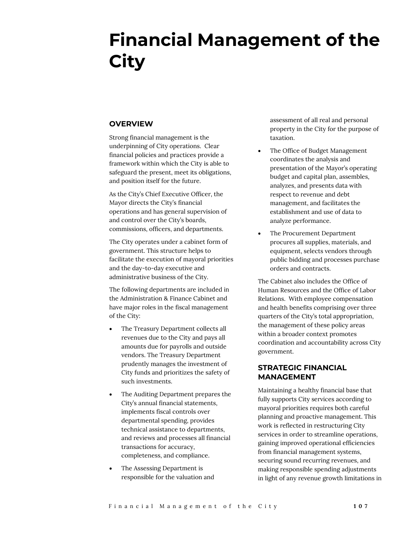# **Financial Management of the City**

# **OVERVIEW**

Strong financial management is the underpinning of City operations. Clear financial policies and practices provide a framework within which the City is able to safeguard the present, meet its obligations, and position itself for the future.

As the City's Chief Executive Officer, the Mayor directs the City's financial operations and has general supervision of and control over the City's boards, commissions, officers, and departments.

The City operates under a cabinet form of government. This structure helps to facilitate the execution of mayoral priorities and the day-to-day executive and administrative business of the City.

The following departments are included in the Administration & Finance Cabinet and have major roles in the fiscal management of the City:

- The Treasury Department collects all revenues due to the City and pays all amounts due for payrolls and outside vendors. The Treasury Department prudently manages the investment of City funds and prioritizes the safety of such investments.
- The Auditing Department prepares the City's annual financial statements, implements fiscal controls over departmental spending, provides technical assistance to departments, and reviews and processes all financial transactions for accuracy, completeness, and compliance.
- The Assessing Department is responsible for the valuation and

assessment of all real and personal property in the City for the purpose of taxation.

- The Office of Budget Management coordinates the analysis and presentation of the Mayor's operating budget and capital plan, assembles, analyzes, and presents data with respect to revenue and debt management, and facilitates the establishment and use of data to analyze performance.
- The Procurement Department procures all supplies, materials, and equipment, selects vendors through public bidding and processes purchase orders and contracts.

The Cabinet also includes the Office of Human Resources and the Office of Labor Relations. With employee compensation and health benefits comprising over three quarters of the City's total appropriation, the management of these policy areas within a broader context promotes coordination and accountability across City government.

# **STRATEGIC FINANCIAL MANAGEMENT**

Maintaining a healthy financial base that fully supports City services according to mayoral priorities requires both careful planning and proactive management. This work is reflected in restructuring City services in order to streamline operations, gaining improved operational efficiencies from financial management systems, securing sound recurring revenues, and making responsible spending adjustments in light of any revenue growth limitations in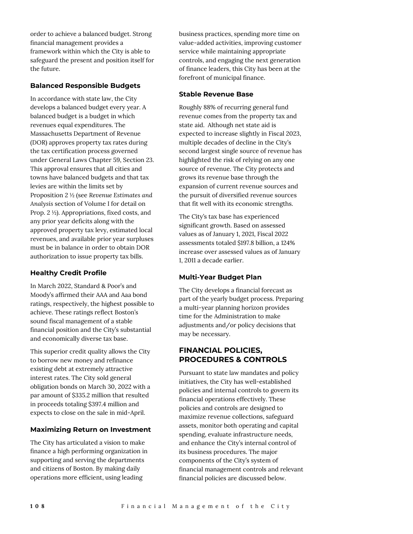order to achieve a balanced budget. Strong financial management provides a framework within which the City is able to safeguard the present and position itself for the future.

## **Balanced Responsible Budgets**

In accordance with state law, the City develops a balanced budget every year. A balanced budget is a budget in which revenues equal expenditures. The Massachusetts Department of Revenue (DOR) approves property tax rates during the tax certification process governed under General Laws Chapter 59, Section 23. This approval ensures that all cities and towns have balanced budgets and that tax levies are within the limits set by Proposition 2 ½ (see *Revenue Estimates and Analysis* section of Volume I for detail on Prop. 2 ½). Appropriations, fixed costs, and any prior year deficits along with the approved property tax levy, estimated local revenues, and available prior year surpluses must be in balance in order to obtain DOR authorization to issue property tax bills.

## **Healthy Credit Profile**

In March 2022, Standard & Poor's and Moody's affirmed their AAA and Aaa bond ratings, respectively, the highest possible to achieve. These ratings reflect Boston's sound fiscal management of a stable financial position and the City's substantial and economically diverse tax base.

This superior credit quality allows the City to borrow new money and refinance existing debt at extremely attractive interest rates. The City sold general obligation bonds on March 30, 2022 with a par amount of \$335.2 million that resulted in proceeds totaling \$397.4 million and expects to close on the sale in mid-April.

## **Maximizing Return on Investment**

The City has articulated a vision to make finance a high performing organization in supporting and serving the departments and citizens of Boston. By making daily operations more efficient, using leading

business practices, spending more time on value-added activities, improving customer service while maintaining appropriate controls, and engaging the next generation of finance leaders, this City has been at the forefront of municipal finance.

## **Stable Revenue Base**

Roughly 88% of recurring general fund revenue comes from the property tax and state aid. Although net state aid is expected to increase slightly in Fiscal 2023, multiple decades of decline in the City's second largest single source of revenue has highlighted the risk of relying on any one source of revenue. The City protects and grows its revenue base through the expansion of current revenue sources and the pursuit of diversified revenue sources that fit well with its economic strengths.

The City's tax base has experienced significant growth. Based on assessed values as of January 1, 2021, Fiscal 2022 assessments totaled \$197.8 billion, a 124% increase over assessed values as of January 1, 2011 a decade earlier.

## **Multi-Year Budget Plan**

The City develops a financial forecast as part of the yearly budget process. Preparing a multi-year planning horizon provides time for the Administration to make adjustments and/or policy decisions that may be necessary.

# **FINANCIAL POLICIES, PROCEDURES & CONTROLS**

Pursuant to state law mandates and policy initiatives, the City has well-established policies and internal controls to govern its financial operations effectively. These policies and controls are designed to maximize revenue collections, safeguard assets, monitor both operating and capital spending, evaluate infrastructure needs, and enhance the City's internal control of its business procedures. The major components of the City's system of financial management controls and relevant financial policies are discussed below.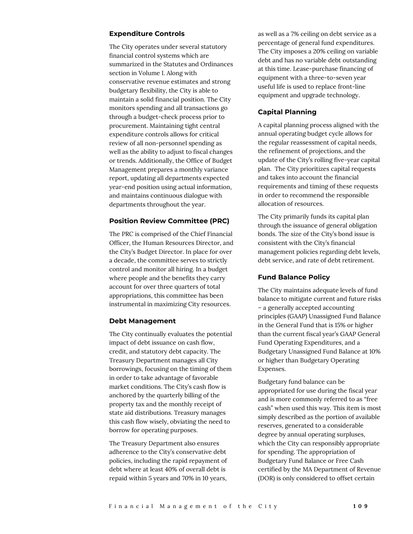## **Expenditure Controls**

The City operates under several statutory financial control systems which are summarized in the Statutes and Ordinances section in Volume I. Along with conservative revenue estimates and strong budgetary flexibility, the City is able to maintain a solid financial position. The City monitors spending and all transactions go through a budget-check process prior to procurement. Maintaining tight central expenditure controls allows for critical review of all non-personnel spending as well as the ability to adjust to fiscal changes or trends. Additionally, the Office of Budget Management prepares a monthly variance report, updating all departments expected year-end position using actual information, and maintains continuous dialogue with departments throughout the year.

## **Position Review Committee (PRC)**

The PRC is comprised of the Chief Financial Officer, the Human Resources Director, and the City's Budget Director. In place for over a decade, the committee serves to strictly control and monitor all hiring. In a budget where people and the benefits they carry account for over three quarters of total appropriations, this committee has been instrumental in maximizing City resources.

#### **Debt Management**

The City continually evaluates the potential impact of debt issuance on cash flow, credit, and statutory debt capacity. The Treasury Department manages all City borrowings, focusing on the timing of them in order to take advantage of favorable market conditions. The City's cash flow is anchored by the quarterly billing of the property tax and the monthly receipt of state aid distributions. Treasury manages this cash flow wisely, obviating the need to borrow for operating purposes.

The Treasury Department also ensures adherence to the City's conservative debt policies, including the rapid repayment of debt where at least 40% of overall debt is repaid within 5 years and 70% in 10 years,

as well as a 7% ceiling on debt service as a percentage of general fund expenditures. The City imposes a 20% ceiling on variable debt and has no variable debt outstanding at this time. Lease-purchase financing of equipment with a three-to-seven year useful life is used to replace front-line equipment and upgrade technology.

## **Capital Planning**

A capital planning process aligned with the annual operating budget cycle allows for the regular reassessment of capital needs, the refinement of projections, and the update of the City's rolling five-year capital plan. The City prioritizes capital requests and takes into account the financial requirements and timing of these requests in order to recommend the responsible allocation of resources.

The City primarily funds its capital plan through the issuance of general obligation bonds. The size of the City's bond issue is consistent with the City's financial management policies regarding debt levels, debt service, and rate of debt retirement.

## **Fund Balance Policy**

The City maintains adequate levels of fund balance to mitigate current and future risks – a generally accepted accounting principles (GAAP) Unassigned Fund Balance in the General Fund that is 15% or higher than the current fiscal year's GAAP General Fund Operating Expenditures, and a Budgetary Unassigned Fund Balance at 10% or higher than Budgetary Operating Expenses.

Budgetary fund balance can be appropriated for use during the fiscal year and is more commonly referred to as "free cash" when used this way. This item is most simply described as the portion of available reserves, generated to a considerable degree by annual operating surpluses, which the City can responsibly appropriate for spending. The appropriation of Budgetary Fund Balance or Free Cash certified by the MA Department of Revenue (DOR) is only considered to offset certain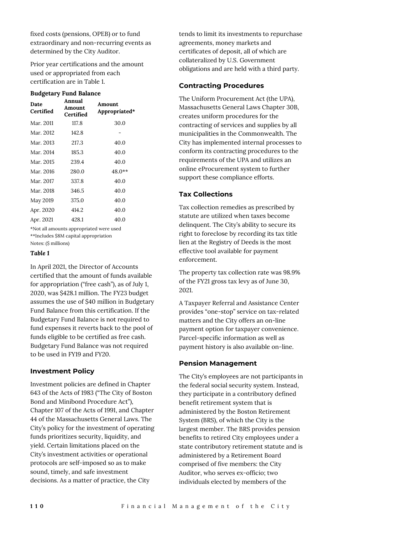fixed costs (pensions, OPEB) or to fund extraordinary and non-recurring events as determined by the City Auditor.

Prior year certifications and the amount used or appropriated from each certification are in Table 1.

#### **Budgetary Fund Balance**

| Date<br>Certified | Annual<br>Amount<br>Certified | Amount.<br>Appropriated* |
|-------------------|-------------------------------|--------------------------|
| Mar. 2011         | 117.8                         | 30.0                     |
| Mar. 2012         | 142.8                         |                          |
| Mar. 2013         | 217.3                         | 40.0                     |
| Mar. 2014         | 185.3                         | 40.0                     |
| Mar. 2015         | 239.4                         | 40.0                     |
| Mar. 2016         | 280.0                         | 48.0**                   |
| Mar. 2017         | 337.8                         | 40.0                     |
| Mar. 2018         | 346.5                         | 40.0                     |
| May 2019          | 375.0                         | 40.0                     |
| Apr. 2020         | 414.2                         | 40.0                     |
| Apr. 2021         | 428.1                         | 40.0                     |

\*Not all amounts appropriated were used \*\*Includes \$8M capital appropriation Notes: (\$ millions)

# *Table 1*

In April 2021, the Director of Accounts certified that the amount of funds available for appropriation ("free cash"), as of July 1, 2020, was \$428.1 million. The FY23 budget assumes the use of \$40 million in Budgetary Fund Balance from this certification. If the Budgetary Fund Balance is not required to fund expenses it reverts back to the pool of funds eligible to be certified as free cash. Budgetary Fund Balance was not required to be used in FY19 and FY20.

## **Investment Policy**

Investment policies are defined in Chapter 643 of the Acts of 1983 ("The City of Boston Bond and Minibond Procedure Act"), Chapter 107 of the Acts of 1991, and Chapter 44 of the Massachusetts General Laws. The City's policy for the investment of operating funds prioritizes security, liquidity, and yield. Certain limitations placed on the City's investment activities or operational protocols are self-imposed so as to make sound, timely, and safe investment decisions. As a matter of practice, the City

tends to limit its investments to repurchase agreements, money markets and certificates of deposit, all of which are collateralized by U.S. Government obligations and are held with a third party.

# **Contracting Procedures**

The Uniform Procurement Act (the UPA), Massachusetts General Laws Chapter 30B, creates uniform procedures for the contracting of services and supplies by all municipalities in the Commonwealth. The City has implemented internal processes to conform its contracting procedures to the requirements of the UPA and utilizes an online eProcurement system to further support these compliance efforts.

# **Tax Collections**

Tax collection remedies as prescribed by statute are utilized when taxes become delinquent. The City's ability to secure its right to foreclose by recording its tax title lien at the Registry of Deeds is the most effective tool available for payment enforcement.

The property tax collection rate was 98.9% of the FY21 gross tax levy as of June 30, 2021.

A Taxpayer Referral and Assistance Center provides "one-stop" service on tax-related matters and the City offers an on-line payment option for taxpayer convenience. Parcel-specific information as well as payment history is also available on-line.

# **Pension Management**

The City's employees are not participants in the federal social security system. Instead, they participate in a contributory defined benefit retirement system that is administered by the Boston Retirement System (BRS), of which the City is the largest member. The BRS provides pension benefits to retired City employees under a state contributory retirement statute and is administered by a Retirement Board comprised of five members: the City Auditor, who serves ex-officio; two individuals elected by members of the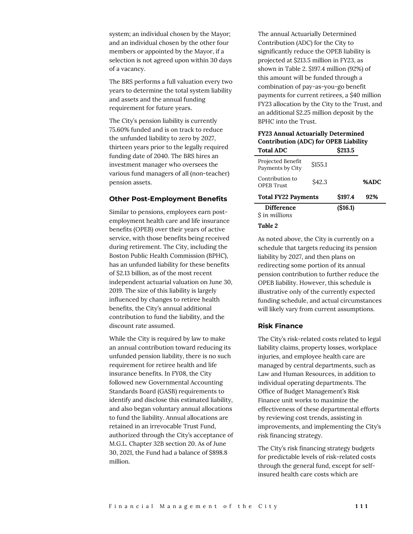system; an individual chosen by the Mayor; and an individual chosen by the other four members or appointed by the Mayor, if a selection is not agreed upon within 30 days of a vacancy.

The BRS performs a full valuation every two years to determine the total system liability and assets and the annual funding requirement for future years.

The City's pension liability is currently 75.60% funded and is on track to reduce the unfunded liability to zero by 2027, thirteen years prior to the legally required funding date of 2040. The BRS hires an investment manager who oversees the various fund managers of all (non-teacher) pension assets.

#### **Other Post-Employment Benefits**

Similar to pensions, employees earn postemployment health care and life insurance benefits (OPEB) over their years of active service, with those benefits being received during retirement. The City, including the Boston Public Health Commission (BPHC), has an unfunded liability for these benefits of \$2.13 billion, as of the most recent independent actuarial valuation on June 30, 2019. The size of this liability is largely influenced by changes to retiree health benefits, the City's annual additional contribution to fund the liability, and the discount rate assumed.

While the City is required by law to make an annual contribution toward reducing its unfunded pension liability, there is no such requirement for retiree health and life insurance benefits. In FY08, the City followed new Governmental Accounting Standards Board (GASB) requirements to identify and disclose this estimated liability, and also began voluntary annual allocations to fund the liability. Annual allocations are retained in an irrevocable Trust Fund, authorized through the City's acceptance of M.G.L. Chapter 32B section 20. As of June 30, 2021, the Fund had a balance of \$898.8 million.

The annual Actuarially Determined Contribution (ADC) for the City to significantly reduce the OPEB liability is projected at \$213.5 million in FY23, as shown in Table 2. \$197.4 million (92%) of this amount will be funded through a combination of pay-as-you-go benefit payments for current retirees, a \$40 million FY23 allocation by the City to the Trust, and an additional \$2.25 million deposit by the BPHC into the Trust.

#### **FY23 Annual Actuarially Determined Contribution (ADC) for OPEB Liability**  $Total ADC$  **\$212.5**

| Tolai ADU                             |         | 5413.J  |      |
|---------------------------------------|---------|---------|------|
| Projected Benefit<br>Payments by City | \$155.1 |         |      |
| Contribution to<br><b>OPEB</b> Trust  | \$42.3  |         | %ADC |
| <b>Total FY22 Payments</b>            | \$197.4 | 92%     |      |
| <b>Difference</b>                     |         | (S16.1) |      |
| S in millions                         |         |         |      |
|                                       |         |         |      |

*Table 2*

As noted above, the City is currently on a schedule that targets reducing its pension liability by 2027, and then plans on redirecting some portion of its annual pension contribution to further reduce the OPEB liability. However, this schedule is illustrative only of the currently expected funding schedule, and actual circumstances will likely vary from current assumptions.

## **Risk Finance**

The City's risk-related costs related to legal liability claims, property losses, workplace injuries, and employee health care are managed by central departments, such as Law and Human Resources, in addition to individual operating departments. The Office of Budget Management's Risk Finance unit works to maximize the effectiveness of these departmental efforts by reviewing cost trends, assisting in improvements, and implementing the City's risk financing strategy.

The City's risk financing strategy budgets for predictable levels of risk-related costs through the general fund, except for selfinsured health care costs which are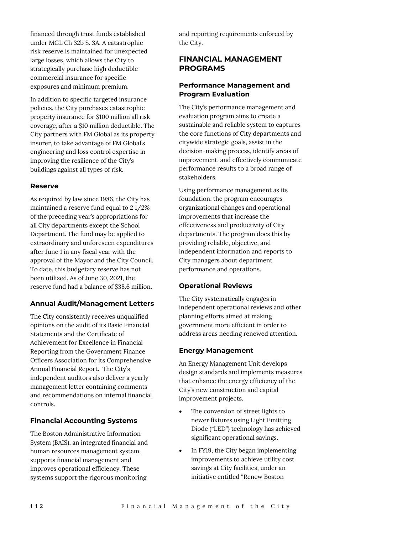financed through trust funds established under MGL Ch 32b S. 3A. A catastrophic risk reserve is maintained for unexpected large losses, which allows the City to strategically purchase high deductible commercial insurance for specific exposures and minimum premium.

In addition to specific targeted insurance policies, the City purchases catastrophic property insurance for \$100 million all risk coverage, after a \$10 million deductible. The City partners with FM Global as its property insurer, to take advantage of FM Global's engineering and loss control expertise in improving the resilience of the City's buildings against all types of risk.

## **Reserve**

As required by law since 1986, the City has maintained a reserve fund equal to 2 1/2% of the preceding year's appropriations for all City departments except the School Department. The fund may be applied to extraordinary and unforeseen expenditures after June 1 in any fiscal year with the approval of the Mayor and the City Council. To date, this budgetary reserve has not been utilized. As of June 30, 2021, the reserve fund had a balance of \$38.6 million.

# **Annual Audit/Management Letters**

The City consistently receives unqualified opinions on the audit of its Basic Financial Statements and the Certificate of Achievement for Excellence in Financial Reporting from the Government Finance Officers Association for its Comprehensive Annual Financial Report. The City's independent auditors also deliver a yearly management letter containing comments and recommendations on internal financial controls.

# **Financial Accounting Systems**

The Boston Administrative Information System (BAIS), an integrated financial and human resources management system, supports financial management and improves operational efficiency. These systems support the rigorous monitoring

and reporting requirements enforced by the City.

# **FINANCIAL MANAGEMENT PROGRAMS**

# **Performance Management and Program Evaluation**

The City's performance management and evaluation program aims to create a sustainable and reliable system to captures the core functions of City departments and citywide strategic goals, assist in the decision-making process, identify areas of improvement, and effectively communicate performance results to a broad range of stakeholders.

Using performance management as its foundation, the program encourages organizational changes and operational improvements that increase the effectiveness and productivity of City departments. The program does this by providing reliable, objective, and independent information and reports to City managers about department performance and operations.

# **Operational Reviews**

The City systematically engages in independent operational reviews and other planning efforts aimed at making government more efficient in order to address areas needing renewed attention.

# **Energy Management**

An Energy Management Unit develops design standards and implements measures that enhance the energy efficiency of the City's new construction and capital improvement projects.

- The conversion of street lights to newer fixtures using Light Emitting Diode ("LED") technology has achieved significant operational savings.
- In FY19, the City began implementing improvements to achieve utility cost savings at City facilities, under an initiative entitled "Renew Boston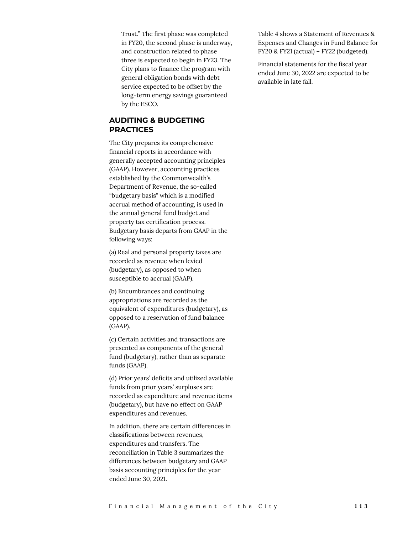Trust." The first phase was completed in FY20, the second phase is underway, and construction related to phase three is expected to begin in FY23. The City plans to finance the program with general obligation bonds with debt service expected to be offset by the long-term energy savings guaranteed by the ESCO.

# **AUDITING & BUDGETING PRACTICES**

The City prepares its comprehensive financial reports in accordance with generally accepted accounting principles (GAAP). However, accounting practices established by the Commonwealth's Department of Revenue, the so-called "budgetary basis" which is a modified accrual method of accounting, is used in the annual general fund budget and property tax certification process. Budgetary basis departs from GAAP in the following ways:

(a) Real and personal property taxes are recorded as revenue when levied (budgetary), as opposed to when susceptible to accrual (GAAP).

(b) Encumbrances and continuing appropriations are recorded as the equivalent of expenditures (budgetary), as opposed to a reservation of fund balance (GAAP).

(c) Certain activities and transactions are presented as components of the general fund (budgetary), rather than as separate funds (GAAP).

(d) Prior years' deficits and utilized available funds from prior years' surpluses are recorded as expenditure and revenue items (budgetary), but have no effect on GAAP expenditures and revenues.

In addition, there are certain differences in classifications between revenues, expenditures and transfers. The reconciliation in Table 3 summarizes the differences between budgetary and GAAP basis accounting principles for the year ended June 30, 2021.

Table 4 shows a Statement of Revenues & Expenses and Changes in Fund Balance for FY20 & FY21 (actual) – FY22 (budgeted).

Financial statements for the fiscal year ended June 30, 2022 are expected to be available in late fall.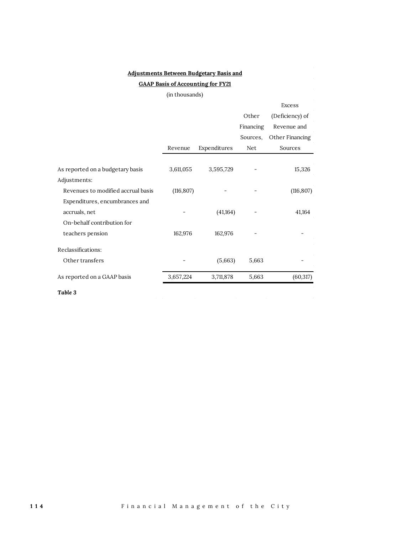| <b>GAAP Basis of Accounting for FY21</b> |            |              |           |                 |  |  |  |
|------------------------------------------|------------|--------------|-----------|-----------------|--|--|--|
| (in thousands)                           |            |              |           |                 |  |  |  |
| <b>Excess</b>                            |            |              |           |                 |  |  |  |
|                                          |            |              | Other     | (Deficiency) of |  |  |  |
|                                          |            |              | Financing | Revenue and     |  |  |  |
|                                          |            |              | Sources,  | Other Financing |  |  |  |
|                                          | Revenue    | Expenditures | Net       | Sources         |  |  |  |
|                                          |            |              |           |                 |  |  |  |
| As reported on a budgetary basis         | 3,611,055  | 3,595,729    |           | 15,326          |  |  |  |
| Adjustments:                             |            |              |           |                 |  |  |  |
| Revenues to modified accrual basis       | (116, 807) |              |           | (116, 807)      |  |  |  |
| Expenditures, encumbrances and           |            |              |           |                 |  |  |  |
| accruals, net                            |            | (41,164)     |           | 41,164          |  |  |  |
| On-behalf contribution for               |            |              |           |                 |  |  |  |
| teachers pension                         | 162,976    | 162,976      |           |                 |  |  |  |
| Reclassifications:                       |            |              |           |                 |  |  |  |
| Other transfers                          |            | (5,663)      | 5,663     |                 |  |  |  |
| As reported on a GAAP basis              | 3,657,224  | 3,711,878    | 5,663     | (60, 317)       |  |  |  |

**Adjustments Between Budgetary Basis and**

*Table 3*

 $\mathcal{A}^{\mathcal{A}}$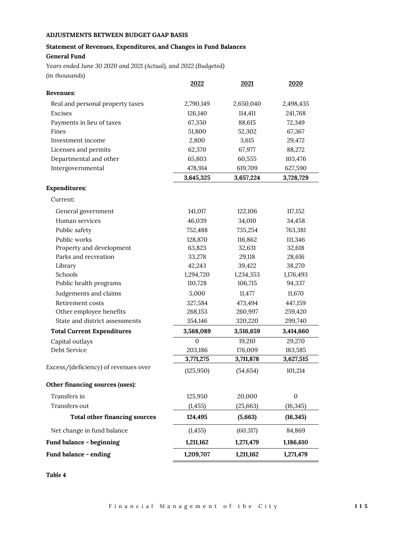# **ADJUSTMENTS BETWEEN BUDGET GAAP BASIS**

# **Statement of Revenues, Expenditures, and Changes in Fund Balances**

# **General Fund**

*Years ended June 30 2020 and 2021 (Actual), and 2022 (Budgeted) (in thousands)*

|                                      | <u> 2022 </u> | <u>2021</u> | <u>2020</u> |  |
|--------------------------------------|---------------|-------------|-------------|--|
| Revenues:                            |               |             |             |  |
| Real and personal property taxes     | 2,790,149     | 2,650,040   | 2,498,435   |  |
| Excises                              | 126,140       | 114,411     | 241,768     |  |
| Payments in lieu of taxes            | 67,350        | 88,615      | 72,349      |  |
| Fines                                | 51,800        | 52,302      | 67,367      |  |
| Investment income                    | 2,800         | 3,615       | 29,472      |  |
| Licenses and permits                 | 62,370        | 67,977      | 88,272      |  |
| Departmental and other               | 65,803        | 60,555      | 103,476     |  |
| Intergovernmental                    | 478,914       | 619,709     | 627,590     |  |
|                                      | 3,645,325     | 3,657,224   | 3,728,729   |  |
| <b>Expenditures:</b>                 |               |             |             |  |
| Current:                             |               |             |             |  |
| General government                   | 141,017       | 122,106     | 117,152     |  |
| Human services                       | 46,039        | 34,010      | 34,458      |  |
| Public safety                        | 752,488       | 735,254     | 763,381     |  |
| Public works                         | 128,870       | 116,862     | 111,346     |  |
| Property and development             | 63,823        | 32,631      | 32,618      |  |
| Parks and recreation                 | 33,278        | 29,118      | 28,616      |  |
| Library                              | 42,243        | 39,422      | 38,270      |  |
| Schools                              | 1,294,720     | 1,234,353   | 1,176,493   |  |
| Public health programs               | 110,728       | 106,715     | 94,337      |  |
| Judgements and claims                | 5,000         | 11,477      | 11,670      |  |
| Retirement costs                     | 327,584       | 473,494     | 447,159     |  |
| Other employee benefits              | 268,153       | 260,997     | 259,420     |  |
| State and district assessments       | 354,146       | 320,220     | 299,740     |  |
| <b>Total Current Expenditures</b>    | 3,568,089     | 3,516,659   | 3,414,660   |  |
| Capital outlays                      | 0             | 19,210      | 29,270      |  |
| Debt Service                         | 203,186       | 176,009     | 183,585     |  |
|                                      | 3,771,275     | 3,711,878   | 3,627,515   |  |
| Excess/(deficiency) of revenues over | (125, 950)    | (54, 654)   | 101,214     |  |
| Other financing sources (uses):      |               |             |             |  |
| Transfers in                         | 125,950       | 20,000      | $\mathbf 0$ |  |
| Transfers out                        | (1, 455)      | (25, 663)   | (16, 345)   |  |
| <b>Total other financing sources</b> | 124,495       | (5,663)     | (16, 345)   |  |
| Net change in fund balance           | (1, 455)      | (60, 317)   | 84,869      |  |
| Fund balance - beginning             | 1,211,162     | 1,271,479   | 1,186,610   |  |
| Fund balance - ending                | 1,209,707     | 1,211,162   | 1,271,479   |  |
|                                      |               |             |             |  |

*Table 4*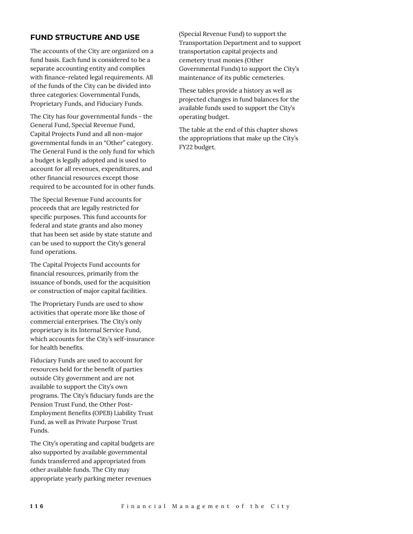# **FUND STRUCTURE AND USE**

The accounts of the City are organized on a fund basis. Each fund is considered to be a separate accounting entity and complies with finance-related legal requirements. All of the funds of the City can be divided into three categories: Governmental Funds, Proprietary Funds, and Fiduciary Funds.

The City has four governmental funds - the General Fund, Special Revenue Fund, Capital Projects Fund and all non-major governmental funds in an "Other" category. The General Fund is the only fund for which a budget is legally adopted and is used to account for all revenues, expenditures, and other financial resources except those required to be accounted for in other funds.

The Special Revenue Fund accounts for proceeds that are legally restricted for specific purposes. This fund accounts for federal and state grants and also money that has been set aside by state statute and can be used to support the City's general fund operations.

The Capital Projects Fund accounts for financial resources, primarily from the issuance of bonds, used for the acquisition or construction of major capital facilities.

The Proprietary Funds are used to show activities that operate more like those of commercial enterprises. The City's only proprietary is its Internal Service Fund, which accounts for the City's self-insurance for health benefits.

Fiduciary Funds are used to account for resources held for the benefit of parties outside City government and are not available to support the City's own programs. The City's fiduciary funds are the Pension Trust Fund, the Other Post-Employment Benefits (OPEB) Liability Trust Fund, as well as Private Purpose Trust Funds.

The City's operating and capital budgets are also supported by available governmental funds transferred and appropriated from other available funds. The City may appropriate yearly parking meter revenues

(Special Revenue Fund) to support the Transportation Department and to support transportation capital projects and cemetery trust monies (Other Governmental Funds) to support the City's maintenance of its public cemeteries.

These tables provide a history as well as projected changes in fund balances for the available funds used to support the City's operating budget.

The table at the end of this chapter shows the appropriations that make up the City's FY22 budget.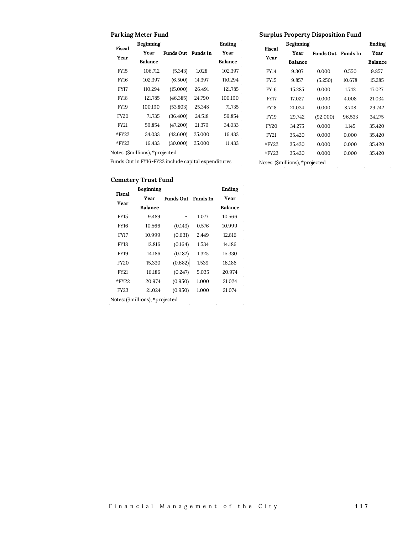## **Parking Meter Fund**

## **Surplus Property Disposition Fund**

|             | Beginning                       |                    |        | Ending         |             | Beginning      |                           |        | Ending         |
|-------------|---------------------------------|--------------------|--------|----------------|-------------|----------------|---------------------------|--------|----------------|
| Fiscal      | Year                            | Funds Out Funds In |        | Year           | Fiscal      | Year           | <b>Funds Out</b> Funds In |        | Year           |
| Year        | <b>Balance</b>                  |                    |        | <b>Balance</b> | Year        | <b>Balance</b> |                           |        | <b>Balance</b> |
| <b>FY15</b> | 106.712                         | (5.343)            | 1.028  | 102.397        | <b>FY14</b> | 9.307          | 0.000                     | 0.550  | 9.857          |
| FY16        | 102.397                         | (6.500)            | 14.397 | 110.294        | <b>FY15</b> | 9.857          | (5.250)                   | 10.678 | 15.285         |
| FY17        | 110.294                         | (15.000)           | 26.491 | 121.785        | <b>FY16</b> | 15.285         | 0.000                     | 1.742  | 17.027         |
| FY18        | 121.785                         | (46.385)           | 24.790 | 100.190        | <b>FY17</b> | 17.027         | 0.000                     | 4.008  | 21.034         |
| FY19        | 100.190                         | (53.803)           | 25.348 | 71.735         | FY18        | 21.034         | 0.000                     | 8.708  | 29.742         |
| <b>FY20</b> | 71.735                          | (36.400)           | 24.518 | 59.854         | FY19        | 29.742         | (92.000)                  | 96.533 | 34.275         |
| FY21        | 59.854                          | (47.200)           | 21.379 | 34.033         | <b>FY20</b> | 34.275         | 0.000                     | 1.145  | 35.420         |
| $*$ FY22    | 34.033                          | (42.600)           | 25.000 | 16.433         | <b>FY21</b> | 35.420         | 0.000                     | 0.000  | 35.420         |
| $*$ FY23    | 16.433                          | (30.000)           | 25.000 | 11.433         | $*$ FY22    | 35.420         | 0.000                     | 0.000  | 35.420         |
|             | Notes: (\$millions), *projected |                    |        |                | $*$ FY23    | 35.420         | 0.000                     | 0.000  | 35.420         |

Funds Out in FY16-FY22 include capital expenditures

Notes: (\$millions), \*projected

## **Cemetery Trust Fund**

| Fiscal      | Beginning      |                    |       | Ending         |
|-------------|----------------|--------------------|-------|----------------|
|             | Year           | Funds Out Funds In |       | Year           |
| Year        | <b>Balance</b> |                    |       | <b>Balance</b> |
| <b>FY15</b> | 9.489          |                    | 1.077 | 10.566         |
| FY16        | 10.566         | (0.143)            | 0.576 | 10.999         |
| FY17        | 10.999         | (0.631)            | 2.449 | 12.816         |
| FY18        | 12.816         | (0.164)            | 1.534 | 14.186         |
| <b>FY19</b> | 14.186         | (0.182)            | 1.325 | 15.330         |
| <b>FY20</b> | 15.330         | (0.682)            | 1.539 | 16.186         |
| <b>FY21</b> | 16.186         | (0.247)            | 5.035 | 20.974         |
| $*$ FY22    | 20.974         | (0.950)            | 1.000 | 21.024         |
| FY23        | 21.024         | (0.950)            | 1.000 | 21.074         |
|             |                |                    |       |                |

Notes: (\$millions), \*projected